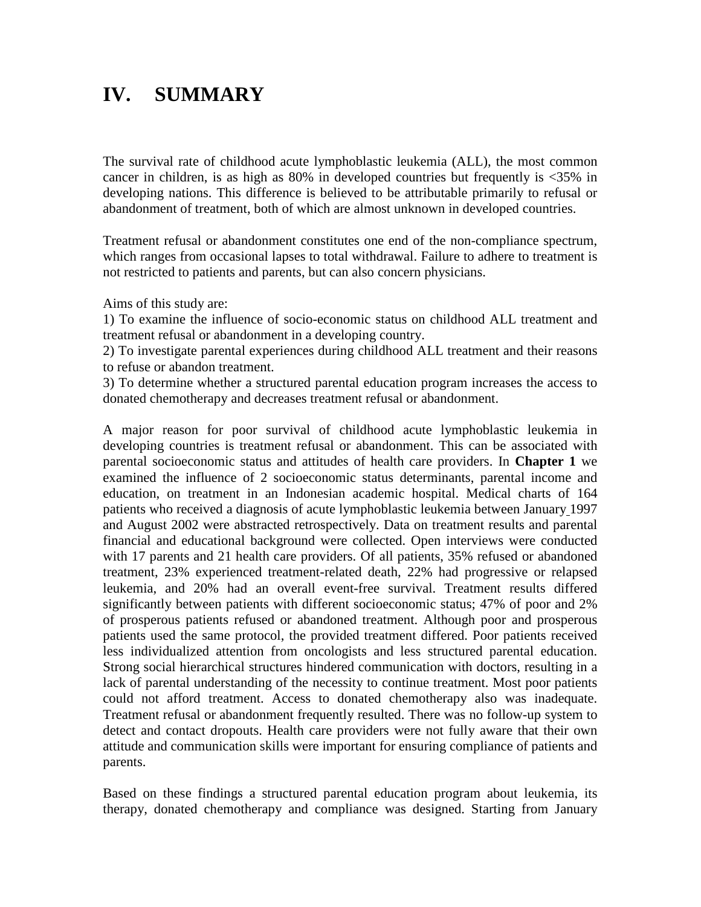## **IV. SUMMARY**

The survival rate of childhood acute lymphoblastic leukemia (ALL), the most common cancer in children, is as high as  $80\%$  in developed countries but frequently is  $<35\%$  in developing nations. This difference is believed to be attributable primarily to refusal or abandonment of treatment, both of which are almost unknown in developed countries.

Treatment refusal or abandonment constitutes one end of the non-compliance spectrum, which ranges from occasional lapses to total withdrawal. Failure to adhere to treatment is not restricted to patients and parents, but can also concern physicians.

Aims of this study are:

1) To examine the influence of socio-economic status on childhood ALL treatment and treatment refusal or abandonment in a developing country.

2) To investigate parental experiences during childhood ALL treatment and their reasons to refuse or abandon treatment.

3) To determine whether a structured parental education program increases the access to donated chemotherapy and decreases treatment refusal or abandonment.

A major reason for poor survival of childhood acute lymphoblastic leukemia in developing countries is treatment refusal or abandonment. This can be associated with parental socioeconomic status and attitudes of health care providers. In **Chapter 1** we examined the influence of 2 socioeconomic status determinants, parental income and education, on treatment in an Indonesian academic hospital. Medical charts of 164 patients who received a diagnosis of acute lymphoblastic leukemia between January 1997 and August 2002 were abstracted retrospectively. Data on treatment results and parental financial and educational background were collected. Open interviews were conducted with 17 parents and 21 health care providers. Of all patients, 35% refused or abandoned treatment, 23% experienced treatment-related death, 22% had progressive or relapsed leukemia, and 20% had an overall event-free survival. Treatment results differed significantly between patients with different socioeconomic status; 47% of poor and 2% of prosperous patients refused or abandoned treatment. Although poor and prosperous patients used the same protocol, the provided treatment differed. Poor patients received less individualized attention from oncologists and less structured parental education. Strong social hierarchical structures hindered communication with doctors, resulting in a lack of parental understanding of the necessity to continue treatment. Most poor patients could not afford treatment. Access to donated chemotherapy also was inadequate. Treatment refusal or abandonment frequently resulted. There was no follow-up system to detect and contact dropouts. Health care providers were not fully aware that their own attitude and communication skills were important for ensuring compliance of patients and parents.

Based on these findings a structured parental education program about leukemia, its therapy, donated chemotherapy and compliance was designed. Starting from January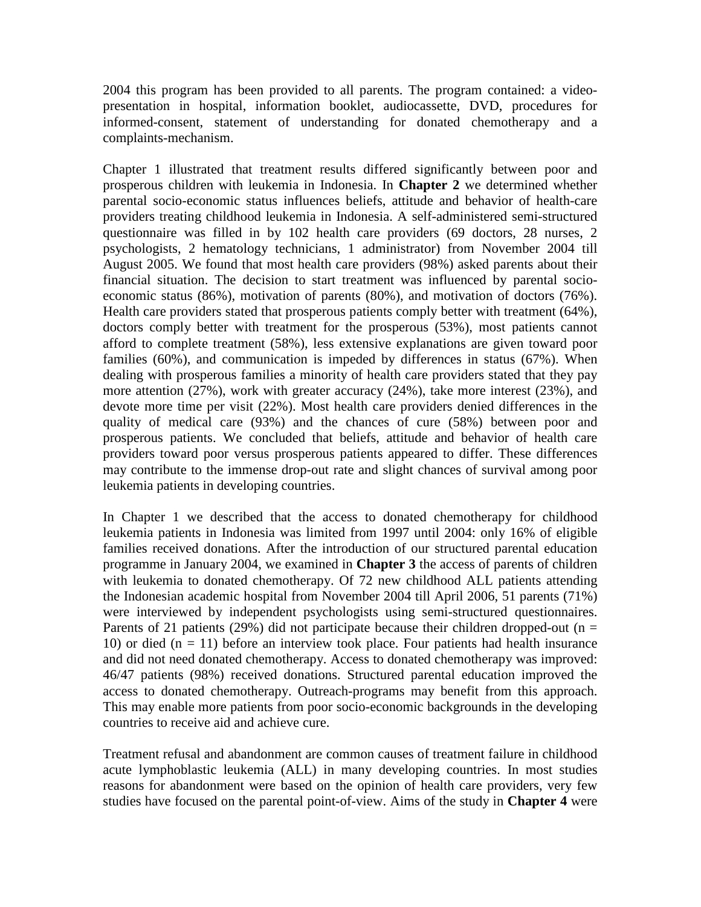2004 this program has been provided to all parents. The program contained: a videopresentation in hospital, information booklet, audiocassette, DVD, procedures for informed-consent, statement of understanding for donated chemotherapy and a complaints-mechanism.

Chapter 1 illustrated that treatment results differed significantly between poor and prosperous children with leukemia in Indonesia. In **Chapter 2** we determined whether parental socio-economic status influences beliefs, attitude and behavior of health-care providers treating childhood leukemia in Indonesia. A self-administered semi-structured questionnaire was filled in by 102 health care providers (69 doctors, 28 nurses, 2 psychologists, 2 hematology technicians, 1 administrator) from November 2004 till August 2005. We found that most health care providers (98%) asked parents about their financial situation. The decision to start treatment was influenced by parental socioeconomic status (86%), motivation of parents (80%), and motivation of doctors (76%). Health care providers stated that prosperous patients comply better with treatment (64%), doctors comply better with treatment for the prosperous (53%), most patients cannot afford to complete treatment (58%), less extensive explanations are given toward poor families (60%), and communication is impeded by differences in status (67%). When dealing with prosperous families a minority of health care providers stated that they pay more attention (27%), work with greater accuracy (24%), take more interest (23%), and devote more time per visit (22%). Most health care providers denied differences in the quality of medical care (93%) and the chances of cure (58%) between poor and prosperous patients. We concluded that beliefs, attitude and behavior of health care providers toward poor versus prosperous patients appeared to differ. These differences may contribute to the immense drop-out rate and slight chances of survival among poor leukemia patients in developing countries.

In Chapter 1 we described that the access to donated chemotherapy for childhood leukemia patients in Indonesia was limited from 1997 until 2004: only 16% of eligible families received donations. After the introduction of our structured parental education programme in January 2004, we examined in **Chapter 3** the access of parents of children with leukemia to donated chemotherapy. Of 72 new childhood ALL patients attending the Indonesian academic hospital from November 2004 till April 2006, 51 parents (71%) were interviewed by independent psychologists using semi-structured questionnaires. Parents of 21 patients (29%) did not participate because their children dropped-out ( $n =$ 10) or died  $(n = 11)$  before an interview took place. Four patients had health insurance and did not need donated chemotherapy. Access to donated chemotherapy was improved: 46/47 patients (98%) received donations. Structured parental education improved the access to donated chemotherapy. Outreach-programs may benefit from this approach. This may enable more patients from poor socio-economic backgrounds in the developing countries to receive aid and achieve cure.

Treatment refusal and abandonment are common causes of treatment failure in childhood acute lymphoblastic leukemia (ALL) in many developing countries. In most studies reasons for abandonment were based on the opinion of health care providers, very few studies have focused on the parental point-of-view. Aims of the study in **Chapter 4** were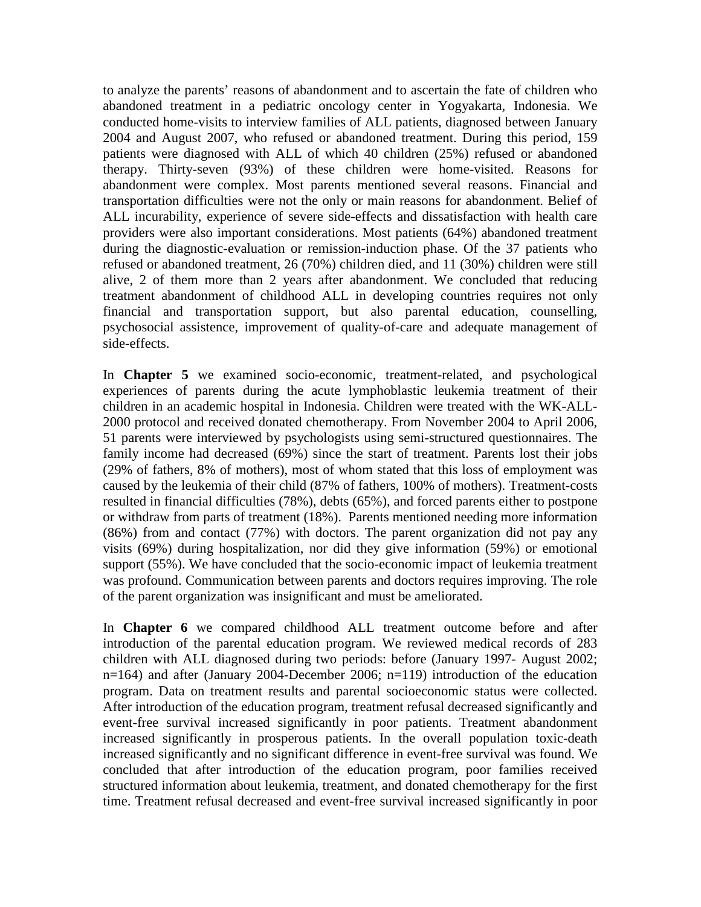to analyze the parents' reasons of abandonment and to ascertain the fate of children who abandoned treatment in a pediatric oncology center in Yogyakarta, Indonesia. We conducted home-visits to interview families of ALL patients, diagnosed between January 2004 and August 2007, who refused or abandoned treatment. During this period, 159 patients were diagnosed with ALL of which 40 children (25%) refused or abandoned therapy. Thirty-seven (93%) of these children were home-visited. Reasons for abandonment were complex. Most parents mentioned several reasons. Financial and transportation difficulties were not the only or main reasons for abandonment. Belief of ALL incurability, experience of severe side-effects and dissatisfaction with health care providers were also important considerations. Most patients (64%) abandoned treatment during the diagnostic-evaluation or remission-induction phase. Of the 37 patients who refused or abandoned treatment, 26 (70%) children died, and 11 (30%) children were still alive, 2 of them more than 2 years after abandonment. We concluded that reducing treatment abandonment of childhood ALL in developing countries requires not only financial and transportation support, but also parental education, counselling, psychosocial assistence, improvement of quality-of-care and adequate management of side-effects.

In **Chapter 5** we examined socio-economic, treatment-related, and psychological experiences of parents during the acute lymphoblastic leukemia treatment of their children in an academic hospital in Indonesia. Children were treated with the WK-ALL-2000 protocol and received donated chemotherapy. From November 2004 to April 2006, 51 parents were interviewed by psychologists using semi-structured questionnaires. The family income had decreased (69%) since the start of treatment. Parents lost their jobs (29% of fathers, 8% of mothers), most of whom stated that this loss of employment was caused by the leukemia of their child (87% of fathers, 100% of mothers). Treatment-costs resulted in financial difficulties (78%), debts (65%), and forced parents either to postpone or withdraw from parts of treatment (18%). Parents mentioned needing more information (86%) from and contact (77%) with doctors. The parent organization did not pay any visits (69%) during hospitalization, nor did they give information (59%) or emotional support (55%). We have concluded that the socio-economic impact of leukemia treatment was profound. Communication between parents and doctors requires improving. The role of the parent organization was insignificant and must be ameliorated.

In **Chapter 6** we compared childhood ALL treatment outcome before and after introduction of the parental education program. We reviewed medical records of 283 children with ALL diagnosed during two periods: before (January 1997- August 2002; n=164) and after (January 2004-December 2006; n=119) introduction of the education program. Data on treatment results and parental socioeconomic status were collected. After introduction of the education program, treatment refusal decreased significantly and event-free survival increased significantly in poor patients. Treatment abandonment increased significantly in prosperous patients. In the overall population toxic-death increased significantly and no significant difference in event-free survival was found. We concluded that after introduction of the education program, poor families received structured information about leukemia, treatment, and donated chemotherapy for the first time. Treatment refusal decreased and event-free survival increased significantly in poor